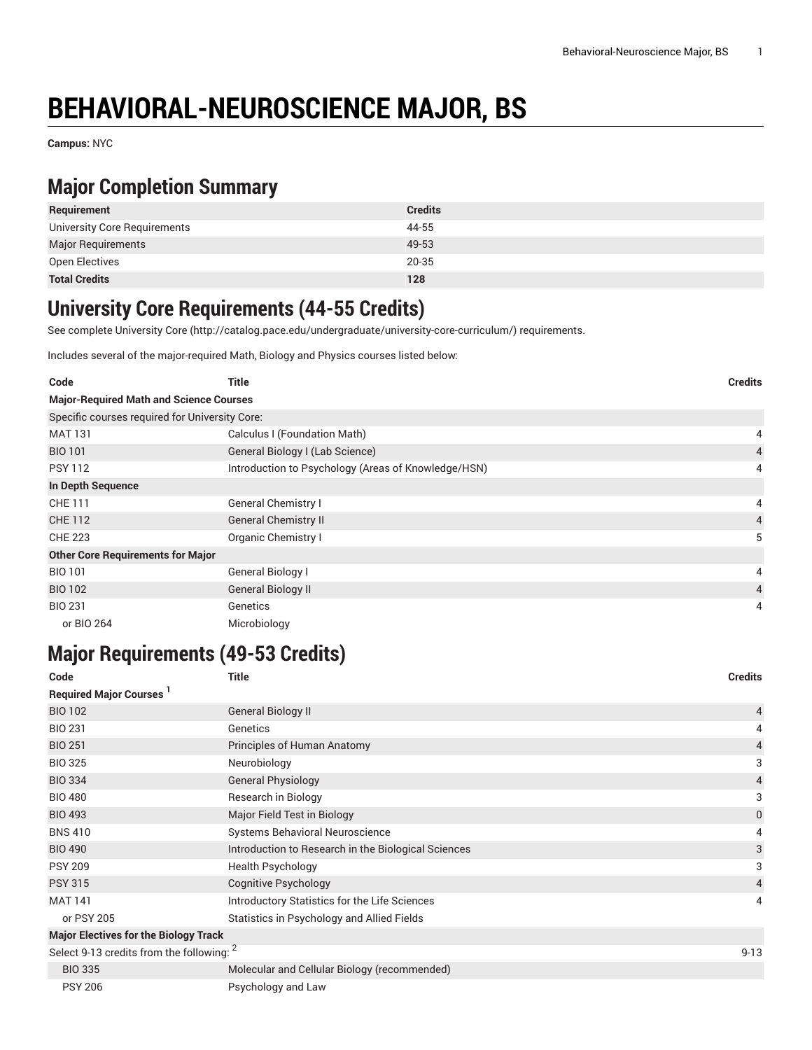# **BEHAVIORAL-NEUROSCIENCE MAJOR, BS**

**Campus:** NYC

### **Major Completion Summary**

| Requirement                  | <b>Credits</b> |
|------------------------------|----------------|
| University Core Requirements | 44-55          |
| <b>Major Requirements</b>    | 49-53          |
| Open Electives               | 20-35          |
| <b>Total Credits</b>         | 128            |

#### **University Core Requirements (44-55 Credits)**

See complete [University](http://catalog.pace.edu/undergraduate/university-core-curriculum/) Core (<http://catalog.pace.edu/undergraduate/university-core-curriculum/>) requirements.

Includes several of the major-required Math, Biology and Physics courses listed below:

| Code                                           | Title                                               | <b>Credits</b> |
|------------------------------------------------|-----------------------------------------------------|----------------|
| <b>Major-Required Math and Science Courses</b> |                                                     |                |
| Specific courses required for University Core: |                                                     |                |
| <b>MAT 131</b>                                 | Calculus I (Foundation Math)                        | 4              |
| <b>BIO 101</b>                                 | General Biology I (Lab Science)                     | 4              |
| <b>PSY 112</b>                                 | Introduction to Psychology (Areas of Knowledge/HSN) | 4              |
| In Depth Sequence                              |                                                     |                |
| CHE 111                                        | General Chemistry I                                 | 4              |
| <b>CHE 112</b>                                 | <b>General Chemistry II</b>                         | $\overline{4}$ |
| <b>CHE 223</b>                                 | Organic Chemistry I                                 | 5              |
| <b>Other Core Requirements for Major</b>       |                                                     |                |
| <b>BIO 101</b>                                 | General Biology I                                   | 4              |
| <b>BIO 102</b>                                 | General Biology II                                  | 4              |
| <b>BIO 231</b>                                 | Genetics                                            | 4              |
| or BIO 264                                     | Microbiology                                        |                |

# **Major Requirements (49-53 Credits)**

| Code                                         | Title                                               | <b>Credits</b> |
|----------------------------------------------|-----------------------------------------------------|----------------|
| <b>Required Major Courses</b> <sup>1</sup>   |                                                     |                |
| <b>BIO 102</b>                               | <b>General Biology II</b>                           | 4              |
| <b>BIO 231</b>                               | Genetics                                            | 4              |
| <b>BIO 251</b>                               | Principles of Human Anatomy                         | 4              |
| <b>BIO 325</b>                               | Neurobiology                                        | 3              |
| <b>BIO 334</b>                               | <b>General Physiology</b>                           | 4              |
| <b>BIO 480</b>                               | Research in Biology                                 | 3              |
| <b>BIO 493</b>                               | Major Field Test in Biology                         | 0              |
| <b>BNS 410</b>                               | Systems Behavioral Neuroscience                     | 4              |
| <b>BIO 490</b>                               | Introduction to Research in the Biological Sciences | 3              |
| <b>PSY 209</b>                               | <b>Health Psychology</b>                            | 3              |
| <b>PSY 315</b>                               | Cognitive Psychology                                | 4              |
| <b>MAT 141</b>                               | Introductory Statistics for the Life Sciences       | 4              |
| or PSY 205                                   | Statistics in Psychology and Allied Fields          |                |
| <b>Major Electives for the Biology Track</b> |                                                     |                |
| Select 9-13 credits from the following: 2    |                                                     | $9 - 13$       |
| <b>BIO 335</b>                               | Molecular and Cellular Biology (recommended)        |                |
| <b>PSY 206</b>                               | Psychology and Law                                  |                |